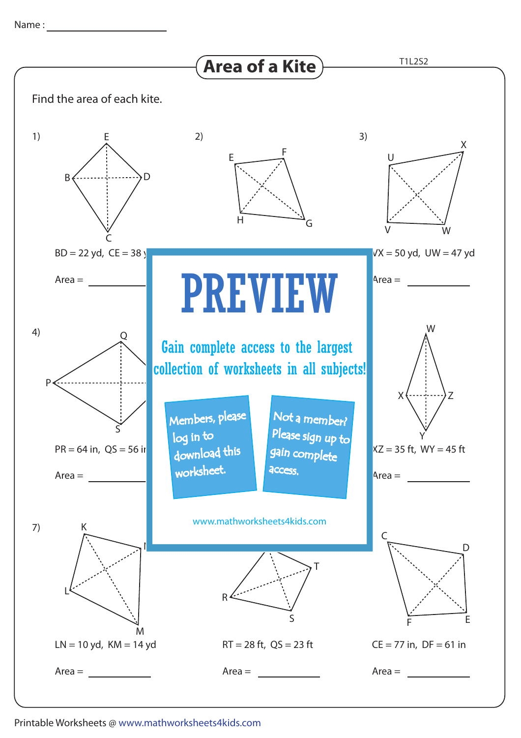